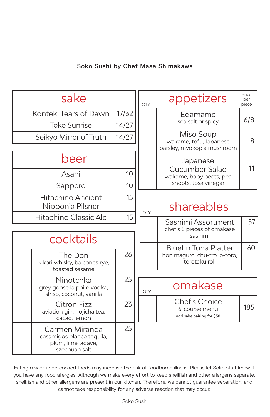## Soko Sushi by Chef Masa Shimakawa

| sake      |                                                                                    |       | QTY     | appetizers                                                                   | Price<br>per<br>piece |
|-----------|------------------------------------------------------------------------------------|-------|---------|------------------------------------------------------------------------------|-----------------------|
|           | Konteki Tears of Dawn                                                              | 17/32 | Edamame |                                                                              | 6/8                   |
|           | <b>Toko Sunrise</b><br>14/27                                                       |       |         | sea salt or spicy                                                            |                       |
|           | Seikyo Mirror of Truth                                                             | 14/27 |         | Miso Soup<br>wakame, tofu, Japanese                                          | 8                     |
|           |                                                                                    |       |         | parsley, myokopia mushroom                                                   |                       |
| beer      |                                                                                    |       |         | Japanese                                                                     |                       |
|           | Asahi                                                                              | 10    |         | Cucumber Salad<br>wakame, baby beets, pea                                    | 11                    |
|           | Sapporo                                                                            | 10    |         | shoots, tosa vinegar                                                         |                       |
|           | <b>Hitachino Ancient</b>                                                           | 15    |         |                                                                              |                       |
|           | Nipponia Pilsner                                                                   |       | QTY     | shareables                                                                   |                       |
|           | Hitachino Classic Ale                                                              | 15    |         | Sashimi Assortment                                                           | 57                    |
|           |                                                                                    |       |         | chef's 8 pieces of omakase<br>sashimi                                        |                       |
| cocktails |                                                                                    |       |         |                                                                              |                       |
|           | The Don<br>kikori whisky, balcones rye,<br>toasted sesame                          | 26    |         | <b>Bluefin Tuna Platter</b><br>hon maguro, chu-tro, o-toro,<br>torotaku roll | 60                    |
|           |                                                                                    |       |         |                                                                              |                       |
|           | Ninotchka<br>grey goose la poire vodka,<br>shiso, coconut, vanilla                 | 25    | QTY     | omakase                                                                      |                       |
|           | Citron Fizz<br>aviation gin, hojicha tea,<br>cacao, lemon                          | 23    |         | <b>Chef's Choice</b><br>6-course menu<br>add sake pairing for \$50           | 185                   |
|           | Carmen Miranda<br>casamigos blanco tequila,<br>plum, lime, agave,<br>szechuan salt | 25    |         |                                                                              |                       |

Eating raw or undercooked foods may increase the risk of foodborne illness. Please let Soko staff know if you have any food allergies. Although we make every effort to keep shellfish and other allergens separate, shellfish and other allergens are present in our kitchen. Therefore, we cannot guarantee separation, and cannot take responsibility for any adverse reaction that may occur.